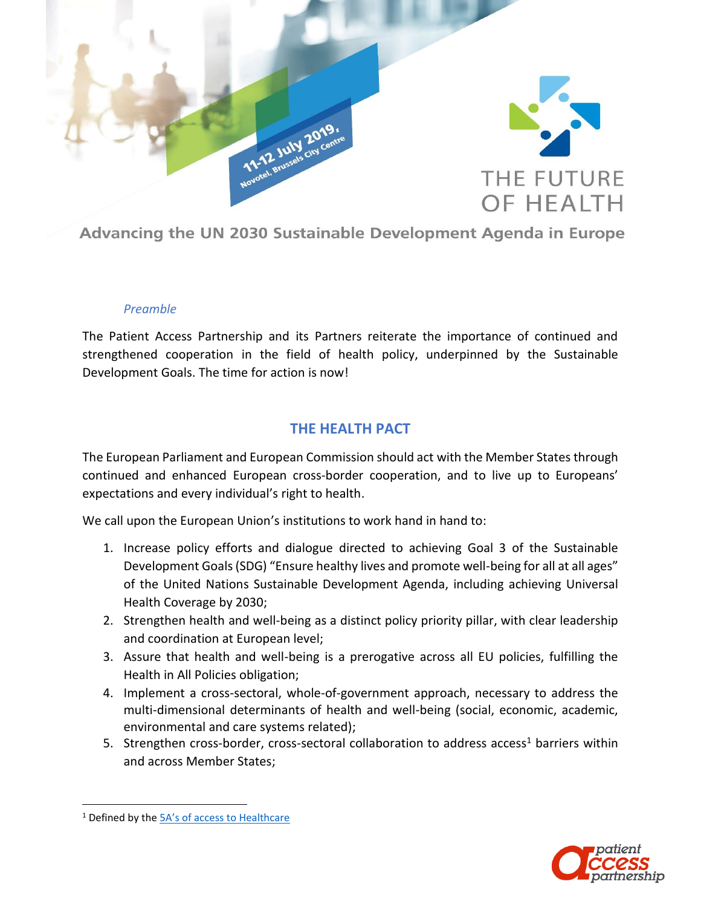

Advancing the UN 2030 Sustainable Development Agenda in Europe

## *Preamble*

The Patient Access Partnership and its Partners reiterate the importance of continued and strengthened cooperation in the field of health policy, underpinned by the Sustainable Development Goals. The time for action is now!

## **THE HEALTH PACT**

The European Parliament and European Commission should act with the Member States through continued and enhanced European cross-border cooperation, and to live up to Europeans' expectations and every individual's right to health.

We call upon the European Union's institutions to work hand in hand to:

- 1. Increase policy efforts and dialogue directed to achieving Goal 3 of the Sustainable Development Goals (SDG) "Ensure healthy lives and promote well-being for all at all ages" of the United Nations Sustainable Development Agenda, including achieving Universal Health Coverage by 2030;
- 2. Strengthen health and well-being as a distinct policy priority pillar, with clear leadership and coordination at European level;
- 3. Assure that health and well-being is a prerogative across all EU policies, fulfilling the Health in All Policies obligation;
- 4. Implement a cross-sectoral, whole-of-government approach, necessary to address the multi-dimensional determinants of health and well-being (social, economic, academic, environmental and care systems related);
- 5. Strengthen cross-border, cross-sectoral collaboration to address access<sup>1</sup> barriers within and across Member States;

 $\overline{\phantom{a}}$ 

<sup>&</sup>lt;sup>1</sup> Defined by the [5A's of access to Healthcare](http://www.eupatientaccess.eu/page.php?i_id=19)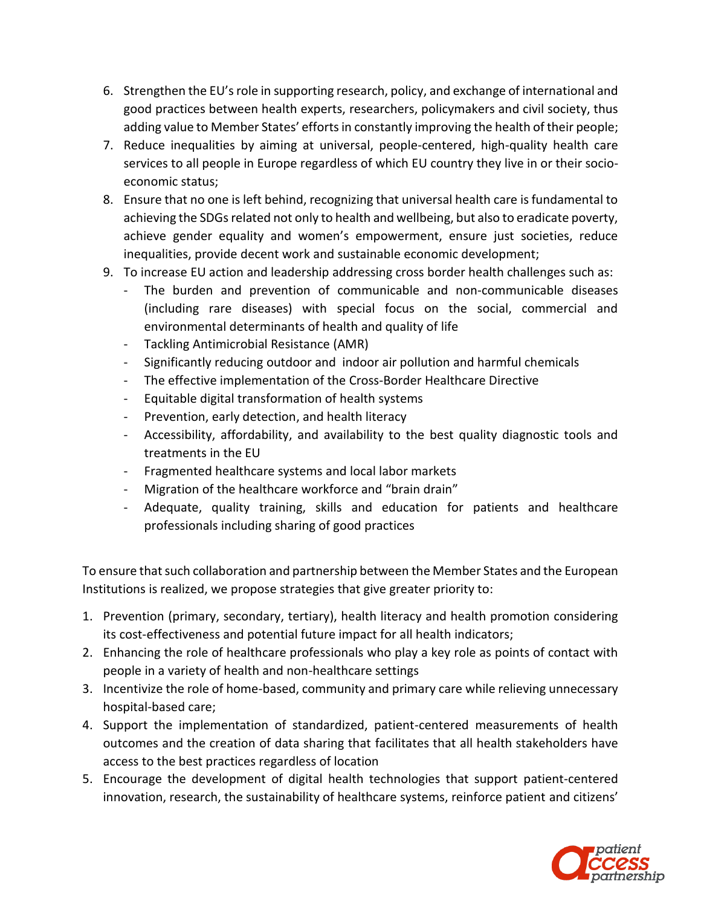- 6. Strengthen the EU'srole in supporting research, policy, and exchange of international and good practices between health experts, researchers, policymakers and civil society, thus adding value to Member States' efforts in constantly improving the health of their people;
- 7. Reduce inequalities by aiming at universal, people-centered, high-quality health care services to all people in Europe regardless of which EU country they live in or their socioeconomic status;
- 8. Ensure that no one is left behind, recognizing that universal health care is fundamental to achieving the SDGs related not only to health and wellbeing, but also to eradicate poverty, achieve gender equality and women's empowerment, ensure just societies, reduce inequalities, provide decent work and sustainable economic development;
- 9. To increase EU action and leadership addressing cross border health challenges such as:
	- The burden and prevention of communicable and non-communicable diseases (including rare diseases) with special focus on the social, commercial and environmental determinants of health and quality of life
	- Tackling Antimicrobial Resistance (AMR)
	- Significantly reducing outdoor and indoor air pollution and harmful chemicals
	- The effective implementation of the Cross-Border Healthcare Directive
	- Equitable digital transformation of health systems
	- Prevention, early detection, and health literacy
	- Accessibility, affordability, and availability to the best quality diagnostic tools and treatments in the EU
	- Fragmented healthcare systems and local labor markets
	- Migration of the healthcare workforce and "brain drain"
	- Adequate, quality training, skills and education for patients and healthcare professionals including sharing of good practices

To ensure that such collaboration and partnership between the Member States and the European Institutions is realized, we propose strategies that give greater priority to:

- 1. Prevention (primary, secondary, tertiary), health literacy and health promotion considering its cost-effectiveness and potential future impact for all health indicators;
- 2. Enhancing the role of healthcare professionals who play a key role as points of contact with people in a variety of health and non-healthcare settings
- 3. Incentivize the role of home-based, community and primary care while relieving unnecessary hospital-based care;
- 4. Support the implementation of standardized, patient-centered measurements of health outcomes and the creation of data sharing that facilitates that all health stakeholders have access to the best practices regardless of location
- 5. Encourage the development of digital health technologies that support patient-centered innovation, research, the sustainability of healthcare systems, reinforce patient and citizens'